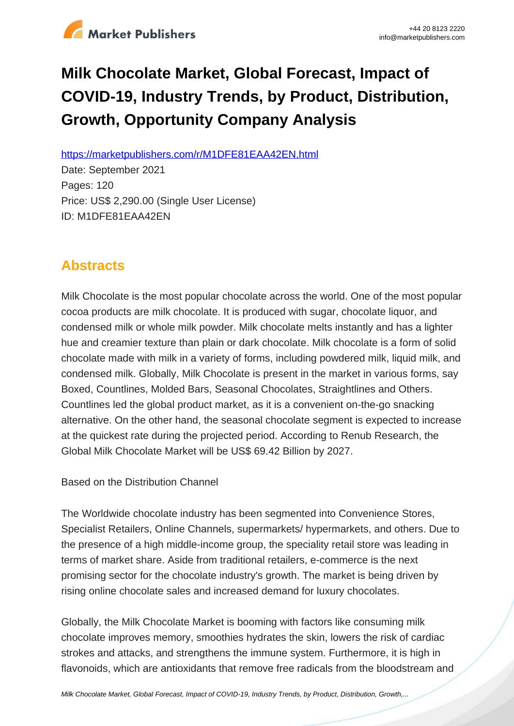

# **Milk Chocolate Market, Global Forecast, Impact of COVID-19, Industry Trends, by Product, Distribution, Growth, Opportunity Company Analysis**

https://marketpublishers.com/r/M1DFE81EAA42EN.html

Date: September 2021 Pages: 120 Price: US\$ 2,290.00 (Single User License) ID: M1DFE81EAA42EN

# **Abstracts**

Milk Chocolate is the most popular chocolate across the world. One of the most popular cocoa products are milk chocolate. It is produced with sugar, chocolate liquor, and condensed milk or whole milk powder. Milk chocolate melts instantly and has a lighter hue and creamier texture than plain or dark chocolate. Milk chocolate is a form of solid chocolate made with milk in a variety of forms, including powdered milk, liquid milk, and condensed milk. Globally, Milk Chocolate is present in the market in various forms, say Boxed, Countlines, Molded Bars, Seasonal Chocolates, Straightlines and Others. Countlines led the global product market, as it is a convenient on-the-go snacking alternative. On the other hand, the seasonal chocolate segment is expected to increase at the quickest rate during the projected period. According to Renub Research, the Global Milk Chocolate Market will be US\$ 69.42 Billion by 2027.

Based on the Distribution Channel

The Worldwide chocolate industry has been segmented into Convenience Stores, Specialist Retailers, Online Channels, supermarkets/ hypermarkets, and others. Due to the presence of a high middle-income group, the speciality retail store was leading in terms of market share. Aside from traditional retailers, e-commerce is the next promising sector for the chocolate industry's growth. The market is being driven by rising online chocolate sales and increased demand for luxury chocolates.

Globally, the Milk Chocolate Market is booming with factors like consuming milk chocolate improves memory, smoothies hydrates the skin, lowers the risk of cardiac strokes and attacks, and strengthens the immune system. Furthermore, it is high in flavonoids, which are antioxidants that remove free radicals from the bloodstream and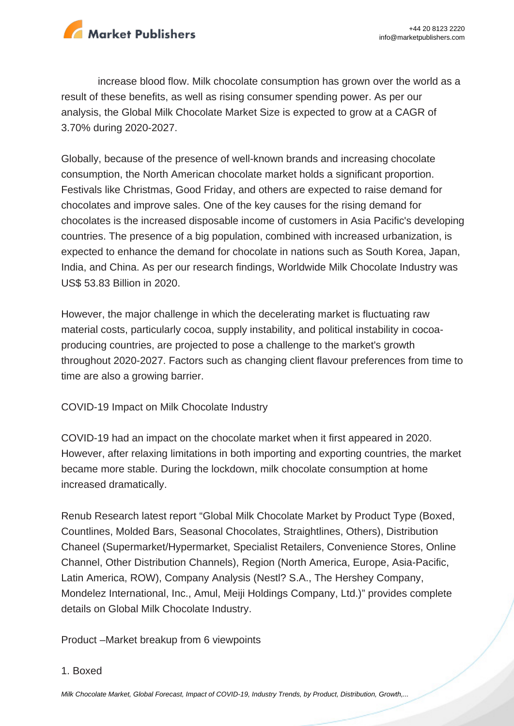

increase blood flow. Milk chocolate consumption has grown over the world as a result of these benefits, as well as rising consumer spending power. As per our analysis, the Global Milk Chocolate Market Size is expected to grow at a CAGR of 3.70% during 2020-2027.

Globally, because of the presence of well-known brands and increasing chocolate consumption, the North American chocolate market holds a significant proportion. Festivals like Christmas, Good Friday, and others are expected to raise demand for chocolates and improve sales. One of the key causes for the rising demand for chocolates is the increased disposable income of customers in Asia Pacific's developing countries. The presence of a big population, combined with increased urbanization, is expected to enhance the demand for chocolate in nations such as South Korea, Japan, India, and China. As per our research findings, Worldwide Milk Chocolate Industry was US\$ 53.83 Billion in 2020.

However, the major challenge in which the decelerating market is fluctuating raw material costs, particularly cocoa, supply instability, and political instability in cocoaproducing countries, are projected to pose a challenge to the market's growth throughout 2020-2027. Factors such as changing client flavour preferences from time to time are also a growing barrier.

COVID-19 Impact on Milk Chocolate Industry

COVID-19 had an impact on the chocolate market when it first appeared in 2020. However, after relaxing limitations in both importing and exporting countries, the market became more stable. During the lockdown, milk chocolate consumption at home increased dramatically.

Renub Research latest report "Global Milk Chocolate Market by Product Type (Boxed, Countlines, Molded Bars, Seasonal Chocolates, Straightlines, Others), Distribution Chaneel (Supermarket/Hypermarket, Specialist Retailers, Convenience Stores, Online Channel, Other Distribution Channels), Region (North America, Europe, Asia-Pacific, Latin America, ROW), Company Analysis (Nestl? S.A., The Hershey Company, Mondelez International, Inc., Amul, Meiji Holdings Company, Ltd.)" provides complete details on Global Milk Chocolate Industry.

Product –Market breakup from 6 viewpoints

#### 1. Boxed

[Milk Chocolate Market, Global Forecast, Impact of COVID-19, Industry Trends, by Product, Distribution, Growth,...](https://marketpublishers.com/report/food/confectionery/milk-chocolate-market-global-forecast-impact-of-covid-19-industry-trends-by-product-distribution-growth-opportunity-company-analysis.html)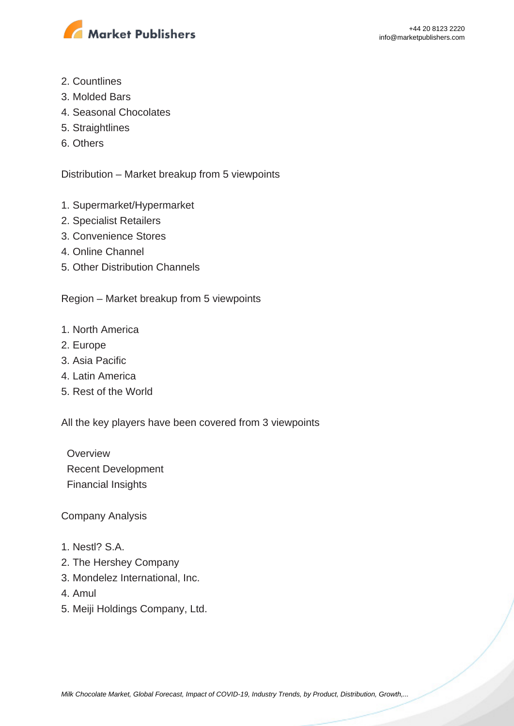

- 2. Countlines
- 3. Molded Bars
- 4. Seasonal Chocolates
- 5. Straightlines
- 6. Others

Distribution – Market breakup from 5 viewpoints

- 1. Supermarket/Hypermarket
- 2. Specialist Retailers
- 3. Convenience Stores
- 4. Online Channel
- 5. Other Distribution Channels

Region – Market breakup from 5 viewpoints

- 1. North America
- 2. Europe
- 3. Asia Pacific
- 4. Latin America
- 5. Rest of the World

All the key players have been covered from 3 viewpoints

**Overview**  Recent Development Financial Insights

Company Analysis

- 1. Nestl? S.A.
- 2. The Hershey Company
- 3. Mondelez International, Inc.
- 4. Amul
- 5. Meiji Holdings Company, Ltd.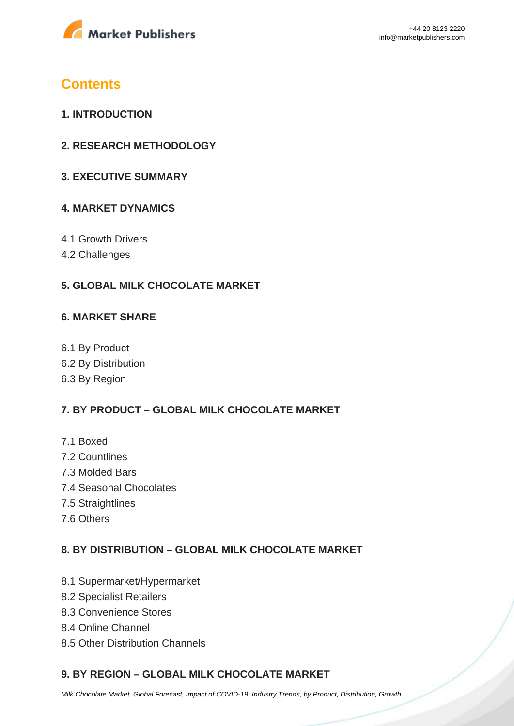

# **Contents**

- **1. INTRODUCTION**
- **2. RESEARCH METHODOLOGY**
- **3. EXECUTIVE SUMMARY**

#### **4. MARKET DYNAMICS**

- 4.1 Growth Drivers
- 4.2 Challenges

#### **5. GLOBAL MILK CHOCOLATE MARKET**

#### **6. MARKET SHARE**

6.1 By Product 6.2 By Distribution 6.3 By Region

### **7. BY PRODUCT – GLOBAL MILK CHOCOLATE MARKET**

- 7.1 Boxed
- 7.2 Countlines
- 7.3 Molded Bars
- 7.4 Seasonal Chocolates
- 7.5 Straightlines
- 7.6 Others

### **8. BY DISTRIBUTION – GLOBAL MILK CHOCOLATE MARKET**

- 8.1 Supermarket/Hypermarket
- 8.2 Specialist Retailers
- 8.3 Convenience Stores
- 8.4 Online Channel
- 8.5 Other Distribution Channels

### **9. BY REGION – GLOBAL MILK CHOCOLATE MARKET**

[Milk Chocolate Market, Global Forecast, Impact of COVID-19, Industry Trends, by Product, Distribution, Growth,...](https://marketpublishers.com/report/food/confectionery/milk-chocolate-market-global-forecast-impact-of-covid-19-industry-trends-by-product-distribution-growth-opportunity-company-analysis.html)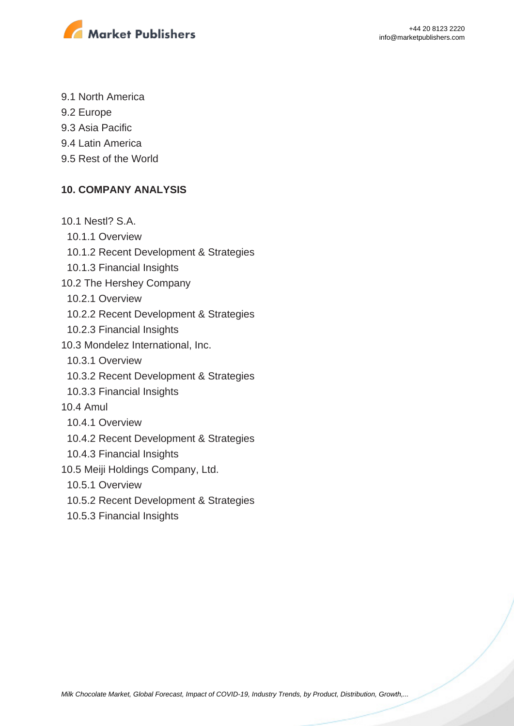

- 9.1 North America
- 9.2 Europe
- 9.3 Asia Pacific
- 9.4 Latin America
- 9.5 Rest of the World

### **10. COMPANY ANALYSIS**

- 10.1 Nestl? S.A.
	- 10.1.1 Overview
	- 10.1.2 Recent Development & Strategies
	- 10.1.3 Financial Insights
- 10.2 The Hershey Company
	- 10.2.1 Overview
	- 10.2.2 Recent Development & Strategies
	- 10.2.3 Financial Insights
- 10.3 Mondelez International, Inc.
- 10.3.1 Overview
- 10.3.2 Recent Development & Strategies
- 10.3.3 Financial Insights
- 10.4 Amul
	- 10.4.1 Overview
	- 10.4.2 Recent Development & Strategies
	- 10.4.3 Financial Insights
- 10.5 Meiji Holdings Company, Ltd.
	- 10.5.1 Overview
	- 10.5.2 Recent Development & Strategies
	- 10.5.3 Financial Insights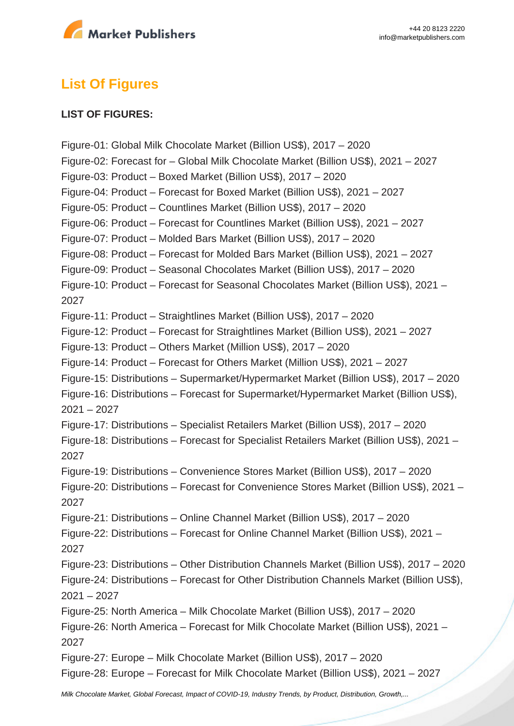

# **List Of Figures**

#### **LIST OF FIGURES:**

Figure-01: Global Milk Chocolate Market (Billion US\$), 2017 – 2020 Figure-02: Forecast for – Global Milk Chocolate Market (Billion US\$), 2021 – 2027 Figure-03: Product – Boxed Market (Billion US\$), 2017 – 2020 Figure-04: Product – Forecast for Boxed Market (Billion US\$), 2021 – 2027 Figure-05: Product – Countlines Market (Billion US\$), 2017 – 2020 Figure-06: Product – Forecast for Countlines Market (Billion US\$), 2021 – 2027 Figure-07: Product – Molded Bars Market (Billion US\$), 2017 – 2020 Figure-08: Product – Forecast for Molded Bars Market (Billion US\$), 2021 – 2027 Figure-09: Product – Seasonal Chocolates Market (Billion US\$), 2017 – 2020 Figure-10: Product – Forecast for Seasonal Chocolates Market (Billion US\$), 2021 – 2027 Figure-11: Product – Straightlines Market (Billion US\$), 2017 – 2020 Figure-12: Product – Forecast for Straightlines Market (Billion US\$), 2021 – 2027 Figure-13: Product – Others Market (Million US\$), 2017 – 2020 Figure-14: Product – Forecast for Others Market (Million US\$), 2021 – 2027 Figure-15: Distributions – Supermarket/Hypermarket Market (Billion US\$), 2017 – 2020 Figure-16: Distributions – Forecast for Supermarket/Hypermarket Market (Billion US\$), 2021 – 2027 Figure-17: Distributions – Specialist Retailers Market (Billion US\$), 2017 – 2020 Figure-18: Distributions – Forecast for Specialist Retailers Market (Billion US\$), 2021 – 2027 Figure-19: Distributions – Convenience Stores Market (Billion US\$), 2017 – 2020 Figure-20: Distributions – Forecast for Convenience Stores Market (Billion US\$), 2021 – 2027 Figure-21: Distributions – Online Channel Market (Billion US\$), 2017 – 2020 Figure-22: Distributions – Forecast for Online Channel Market (Billion US\$), 2021 – 2027 Figure-23: Distributions – Other Distribution Channels Market (Billion US\$), 2017 – 2020 Figure-24: Distributions – Forecast for Other Distribution Channels Market (Billion US\$),  $2021 - 2027$ Figure-25: North America – Milk Chocolate Market (Billion US\$), 2017 – 2020 Figure-26: North America – Forecast for Milk Chocolate Market (Billion US\$), 2021 – 2027 Figure-27: Europe – Milk Chocolate Market (Billion US\$), 2017 – 2020 Figure-28: Europe – Forecast for Milk Chocolate Market (Billion US\$), 2021 – 2027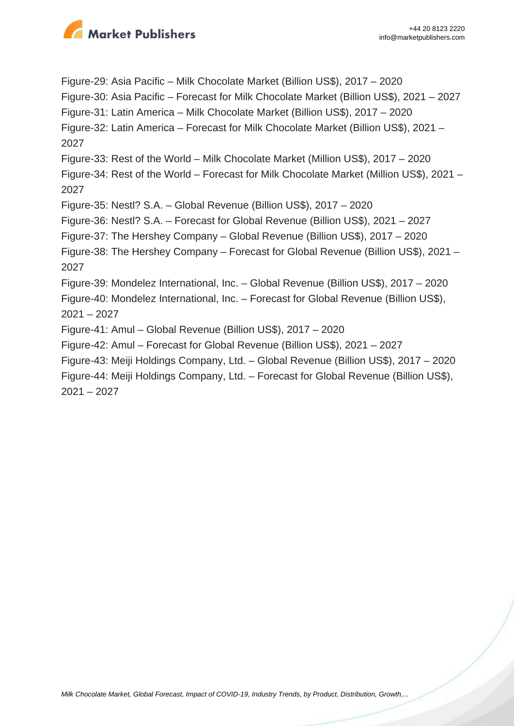

Figure-29: Asia Pacific – Milk Chocolate Market (Billion US\$), 2017 – 2020 Figure-30: Asia Pacific – Forecast for Milk Chocolate Market (Billion US\$), 2021 – 2027 Figure-31: Latin America – Milk Chocolate Market (Billion US\$), 2017 – 2020 Figure-32: Latin America – Forecast for Milk Chocolate Market (Billion US\$), 2021 – 2027 Figure-33: Rest of the World – Milk Chocolate Market (Million US\$), 2017 – 2020 Figure-34: Rest of the World – Forecast for Milk Chocolate Market (Million US\$), 2021 – 2027 Figure-35: Nestl? S.A. – Global Revenue (Billion US\$), 2017 – 2020 Figure-36: Nestl? S.A. – Forecast for Global Revenue (Billion US\$), 2021 – 2027 Figure-37: The Hershey Company – Global Revenue (Billion US\$), 2017 – 2020 Figure-38: The Hershey Company – Forecast for Global Revenue (Billion US\$), 2021 – 2027 Figure-39: Mondelez International, Inc. – Global Revenue (Billion US\$), 2017 – 2020 Figure-40: Mondelez International, Inc. – Forecast for Global Revenue (Billion US\$), 2021 – 2027 Figure-41: Amul – Global Revenue (Billion US\$), 2017 – 2020 Figure-42: Amul – Forecast for Global Revenue (Billion US\$), 2021 – 2027 Figure-43: Meiji Holdings Company, Ltd. – Global Revenue (Billion US\$), 2017 – 2020 Figure-44: Meiji Holdings Company, Ltd. – Forecast for Global Revenue (Billion US\$),

2021 – 2027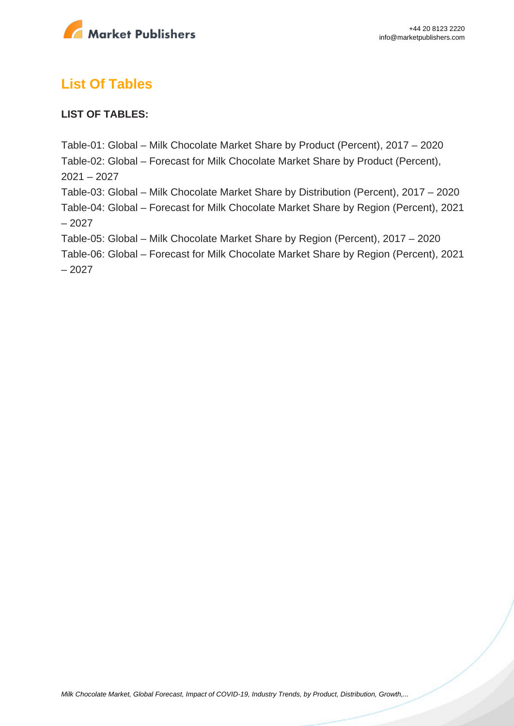

# **List Of Tables**

### **LIST OF TABLES:**

Table-01: Global – Milk Chocolate Market Share by Product (Percent), 2017 – 2020 Table-02: Global – Forecast for Milk Chocolate Market Share by Product (Percent),  $2021 - 2027$ Table-03: Global – Milk Chocolate Market Share by Distribution (Percent), 2017 – 2020 Table-04: Global – Forecast for Milk Chocolate Market Share by Region (Percent), 2021 – 2027 Table-05: Global – Milk Chocolate Market Share by Region (Percent), 2017 – 2020 Table-06: Global – Forecast for Milk Chocolate Market Share by Region (Percent), 2021 – 2027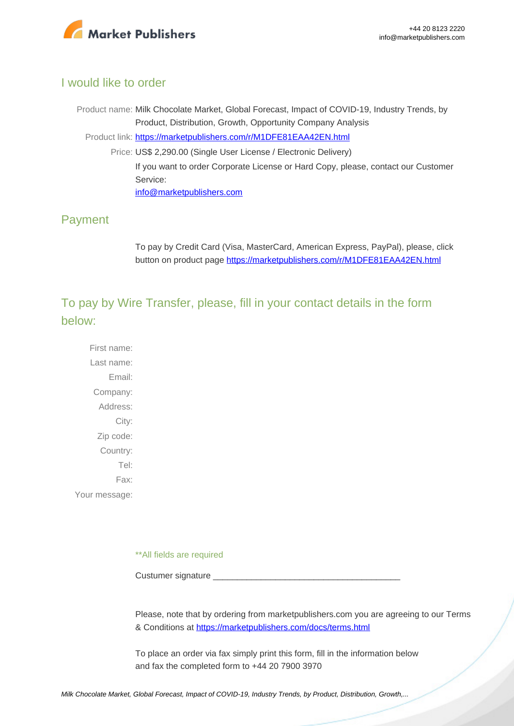

### I would like to order

Product name: Milk Chocolate Market, Global Forecast, Impact of COVID-19, Industry Trends, by Product, Distribution, Growth, Opportunity Company Analysis Product link: [https://marketpublishers.com/r/M1DFE81EAA42EN.html](https://marketpublishers.com/report/food/confectionery/milk-chocolate-market-global-forecast-impact-of-covid-19-industry-trends-by-product-distribution-growth-opportunity-company-analysis.html) Price: US\$ 2,290.00 (Single User License / Electronic Delivery) If you want to order Corporate License or Hard Copy, please, contact our Customer Service: [info@marketpublishers.com](mailto:info@marketpublishers.com)

## Payment

To pay by Credit Card (Visa, MasterCard, American Express, PayPal), please, click button on product page [https://marketpublishers.com/r/M1DFE81EAA42EN.html](https://marketpublishers.com/report/food/confectionery/milk-chocolate-market-global-forecast-impact-of-covid-19-industry-trends-by-product-distribution-growth-opportunity-company-analysis.html)

To pay by Wire Transfer, please, fill in your contact details in the form below:

First name: Last name: Email: Company: Address: City: Zip code: Country: Tel: Fax: Your message:

\*\*All fields are required

Custumer signature

Please, note that by ordering from marketpublishers.com you are agreeing to our Terms & Conditions at<https://marketpublishers.com/docs/terms.html>

To place an order via fax simply print this form, fill in the information below and fax the completed form to +44 20 7900 3970